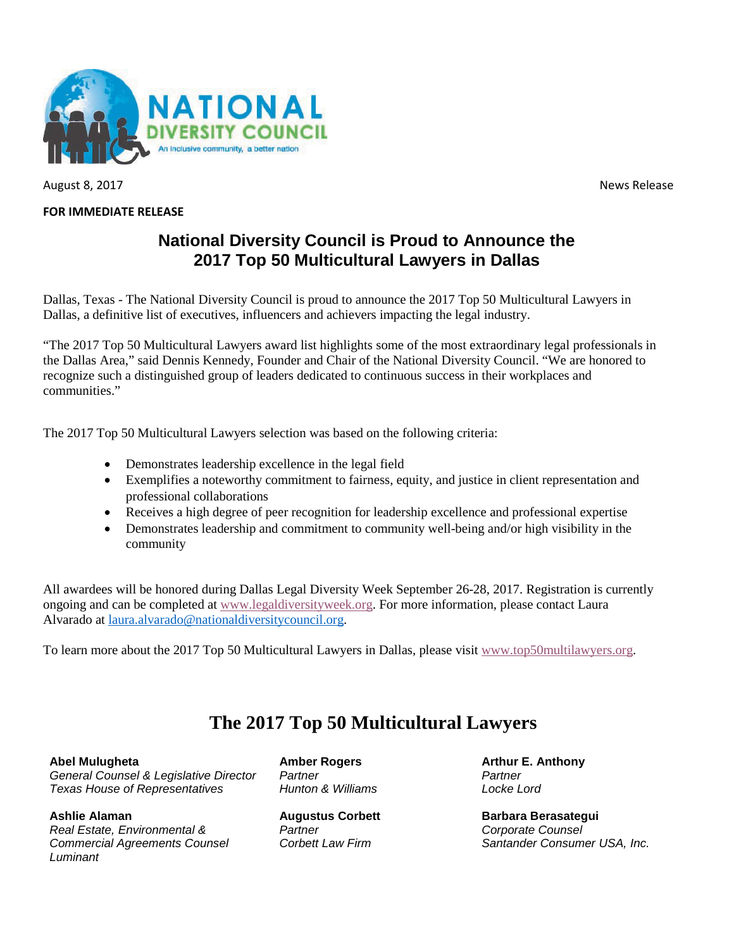

August 8, 2017 **News Release** 

## **FOR IMMEDIATE RELEASE**

## **National Diversity Council is Proud to Announce the 2017 Top 50 Multicultural Lawyers in Dallas**

Dallas, Texas - The National Diversity Council is proud to announce the 2017 Top 50 Multicultural Lawyers in Dallas, a definitive list of executives, influencers and achievers impacting the legal industry.

"The 2017 Top 50 Multicultural Lawyers award list highlights some of the most extraordinary legal professionals in the Dallas Area," said Dennis Kennedy, Founder and Chair of the National Diversity Council. "We are honored to recognize such a distinguished group of leaders dedicated to continuous success in their workplaces and communities."

The 2017 Top 50 Multicultural Lawyers selection was based on the following criteria:

- Demonstrates leadership excellence in the legal field
- Exemplifies a noteworthy commitment to fairness, equity, and justice in client representation and professional collaborations
- Receives a high degree of peer recognition for leadership excellence and professional expertise
- Demonstrates leadership and commitment to community well-being and/or high visibility in the community

All awardees will be honored during Dallas Legal Diversity Week September 26-28, 2017. Registration is currently ongoing and can be completed at [www.legaldiversityweek.org.](http://www.legaldiversityweek.org/) For more information, please contact Laura Alvarado at [laura.alvarado@nationaldiversitycouncil.org.](mailto:laura.alvarado@nationaldiversitycouncil.org)

To learn more about the 2017 Top 50 Multicultural Lawyers in Dallas, please visit [www.top50multilawyers.org.](http://www.top50multilawyers.org/)

## **The 2017 Top 50 Multicultural Lawyers**

**Abel Mulugheta** *General Counsel & Legislative Director Texas House of Representatives*

**Ashlie Alaman** *Real Estate, Environmental & Commercial Agreements Counsel Luminant*

**Amber Rogers** *Partner Hunton & Williams* 

**Augustus Corbett** *Partner Corbett Law Firm*

**Arthur E. Anthony** *Partner Locke Lord*

**Barbara Berasategui** *Corporate Counsel Santander Consumer USA, Inc.*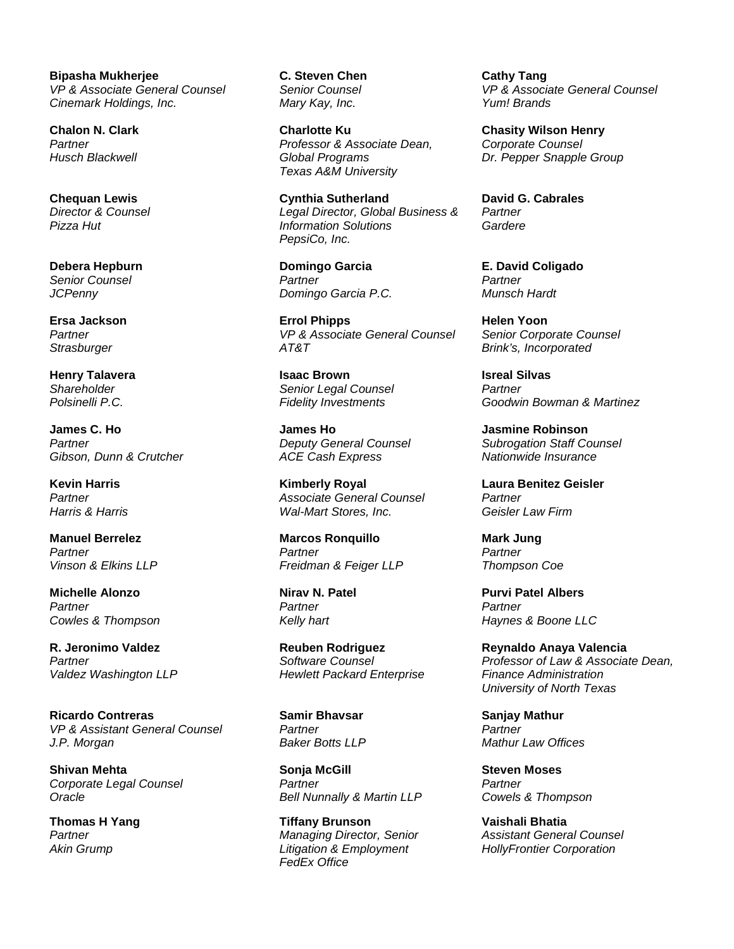**Bipasha Mukherjee** *VP & Associate General Counsel Cinemark Holdings, Inc.*

**Chalon N. Clark** *Partner Husch Blackwell*

**Chequan Lewis** *Director & Counsel Pizza Hut*

**Debera Hepburn** *Senior Counsel JCPenny*

**Ersa Jackson**  *Partner Strasburger*

**Henry Talavera** *Shareholder Polsinelli P.C.*

**James C. Ho** *Partner Gibson, Dunn & Crutcher*

**Kevin Harris** *Partner Harris & Harris*

**Manuel Berrelez** *Partner Vinson & Elkins LLP*

**Michelle Alonzo** *Partner Cowles & Thompson*

**R. Jeronimo Valdez** *Partner Valdez Washington LLP*

**Ricardo Contreras** *VP & Assistant General Counsel J.P. Morgan*

**Shivan Mehta** *Corporate Legal Counsel Oracle*

**Thomas H Yang** *Partner Akin Grump*

**C. Steven Chen** *Senior Counsel Mary Kay, Inc.*

**Charlotte Ku** *Professor & Associate Dean, Global Programs Texas A&M University*

**Cynthia Sutherland** *Legal Director, Global Business & Information Solutions PepsiCo, Inc.*

**Domingo Garcia** *Partner Domingo Garcia P.C.*

**Errol Phipps** *VP & Associate General Counsel AT&T*

**Isaac Brown** *Senior Legal Counsel Fidelity Investments*

**James Ho** *Deputy General Counsel ACE Cash Express*

**Kimberly Royal** *Associate General Counsel Wal-Mart Stores, Inc.*

**Marcos Ronquillo** *Partner Freidman & Feiger LLP*

**Nirav N. Patel** *Partner Kelly hart*

**Reuben Rodriguez** *Software Counsel Hewlett Packard Enterprise*

**Samir Bhavsar** *Partner Baker Botts LLP*

**Sonja McGill** *Partner Bell Nunnally & Martin LLP*

**Tiffany Brunson** *Managing Director, Senior Litigation & Employment FedEx Office*

**Cathy Tang** *VP & Associate General Counsel Yum! Brands*

**Chasity Wilson Henry** *Corporate Counsel Dr. Pepper Snapple Group*

**David G. Cabrales** *Partner Gardere*

**E. David Coligado** *Partner Munsch Hardt*

**Helen Yoon** *Senior Corporate Counsel Brink's, Incorporated*

**Isreal Silvas** *Partner Goodwin Bowman & Martinez*

**Jasmine Robinson** *Subrogation Staff Counsel Nationwide Insurance*

**Laura Benitez Geisler** *Partner Geisler Law Firm*

**Mark Jung** *Partner Thompson Coe*

**Purvi Patel Albers** *Partner Haynes & Boone LLC*

**Reynaldo Anaya Valencia** *Professor of Law & Associate Dean, Finance Administration University of North Texas*

**Sanjay Mathur** *Partner Mathur Law Offices*

**Steven Moses** *Partner Cowels & Thompson*

**Vaishali Bhatia** *Assistant General Counsel HollyFrontier Corporation*